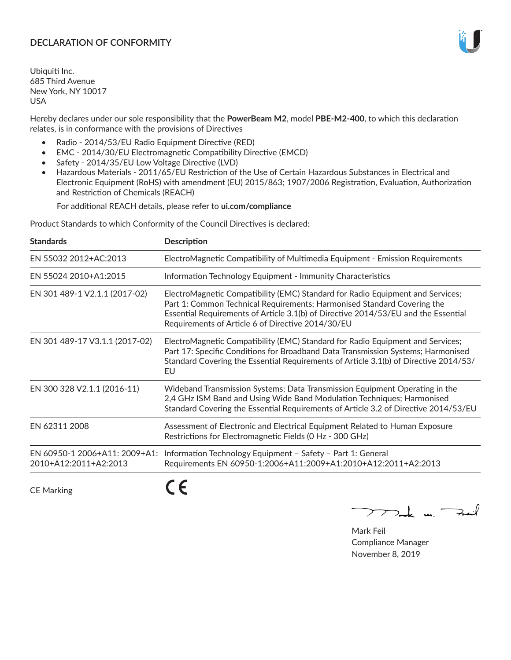# **DECLARATION OF CONFORMITY**

Ubiquiti Inc. 685 Third Avenue New York, NY 10017 USA

Hereby declares under our sole responsibility that the **PowerBeam M2**, model **PBE-M2-400**, to which this declaration relates, is in conformance with the provisions of Directives

- Radio 2014/53/EU Radio Equipment Directive (RED)
- EMC 2014/30/EU Electromagnetic Compatibility Directive (EMCD)
- Safety 2014/35/EU Low Voltage Directive (LVD)
- Hazardous Materials 2011/65/EU Restriction of the Use of Certain Hazardous Substances in Electrical and Electronic Equipment (RoHS) with amendment (EU) 2015/863; 1907/2006 Registration, Evaluation, Authorization and Restriction of Chemicals (REACH)

For additional REACH details, please refer to **ui.com/compliance**

Product Standards to which Conformity of the Council Directives is declared:

| <b>Standards</b>                                       | <b>Description</b>                                                                                                                                                                                                                                                                                   |
|--------------------------------------------------------|------------------------------------------------------------------------------------------------------------------------------------------------------------------------------------------------------------------------------------------------------------------------------------------------------|
| EN 55032 2012+AC:2013                                  | ElectroMagnetic Compatibility of Multimedia Equipment - Emission Requirements                                                                                                                                                                                                                        |
| EN 55024 2010+A1:2015                                  | Information Technology Equipment - Immunity Characteristics                                                                                                                                                                                                                                          |
| EN 301 489-1 V2.1.1 (2017-02)                          | ElectroMagnetic Compatibility (EMC) Standard for Radio Equipment and Services;<br>Part 1: Common Technical Requirements; Harmonised Standard Covering the<br>Essential Requirements of Article 3.1(b) of Directive 2014/53/EU and the Essential<br>Requirements of Article 6 of Directive 2014/30/EU |
| EN 301 489-17 V3.1.1 (2017-02)                         | ElectroMagnetic Compatibility (EMC) Standard for Radio Equipment and Services;<br>Part 17: Specific Conditions for Broadband Data Transmission Systems; Harmonised<br>Standard Covering the Essential Requirements of Article 3.1(b) of Directive 2014/53/<br>EU                                     |
| EN 300 328 V2.1.1 (2016-11)                            | Wideband Transmission Systems; Data Transmission Equipment Operating in the<br>2,4 GHz ISM Band and Using Wide Band Modulation Techniques; Harmonised<br>Standard Covering the Essential Requirements of Article 3.2 of Directive 2014/53/EU                                                         |
| EN 62311 2008                                          | Assessment of Electronic and Electrical Equipment Related to Human Exposure<br>Restrictions for Electromagnetic Fields (0 Hz - 300 GHz)                                                                                                                                                              |
| EN 60950-1 2006+A11: 2009+A1:<br>2010+A12:2011+A2:2013 | Information Technology Equipment - Safety - Part 1: General<br>Requirements EN 60950-1:2006+A11:2009+A1:2010+A12:2011+A2:2013                                                                                                                                                                        |
|                                                        |                                                                                                                                                                                                                                                                                                      |

CE Marking

CE

 $\nabla$ ock un  $\rightarrow$ cil  $\mathop{\sum\mathrm{ }}$ 

Mark Feil Compliance Manager November 8, 2019

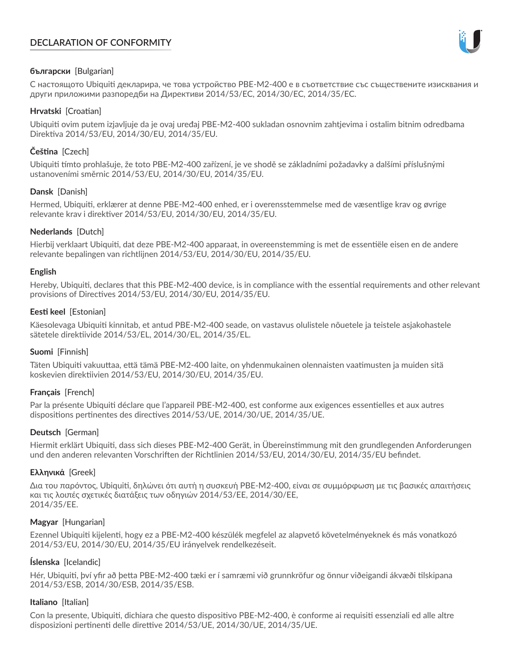# **DECLARATION OF CONFORMITY**



# **български** [Bulgarian]

С настоящото Ubiquiti декларира, че това устройство PBE-M2-400 е в съответствие със съществените изисквания и други приложими разпоредби на Директиви 2014/53/EC, 2014/30/ЕС, 2014/35/ЕС.

## **Hrvatski** [Croatian]

Ubiquiti ovim putem izjavljuje da je ovaj uređaj PBE-M2-400 sukladan osnovnim zahtjevima i ostalim bitnim odredbama Direktiva 2014/53/EU, 2014/30/EU, 2014/35/EU.

# **Čeština** [Czech]

Ubiquiti tímto prohlašuje, že toto PBE-M2-400 zařízení, je ve shodě se základními požadavky a dalšími příslušnými ustanoveními směrnic 2014/53/EU, 2014/30/EU, 2014/35/EU.

# **Dansk** [Danish]

Hermed, Ubiquiti, erklærer at denne PBE-M2-400 enhed, er i overensstemmelse med de væsentlige krav og øvrige relevante krav i direktiver 2014/53/EU, 2014/30/EU, 2014/35/EU.

# **Nederlands** [Dutch]

Hierbij verklaart Ubiquiti, dat deze PBE-M2-400 apparaat, in overeenstemming is met de essentiële eisen en de andere relevante bepalingen van richtlijnen 2014/53/EU, 2014/30/EU, 2014/35/EU.

## **English**

Hereby, Ubiquiti, declares that this PBE-M2-400 device, is in compliance with the essential requirements and other relevant provisions of Directives 2014/53/EU, 2014/30/EU, 2014/35/EU.

## **Eesti keel** [Estonian]

Käesolevaga Ubiquiti kinnitab, et antud PBE-M2-400 seade, on vastavus olulistele nõuetele ja teistele asjakohastele sätetele direktiivide 2014/53/EL, 2014/30/EL, 2014/35/EL.

## **Suomi** [Finnish]

Täten Ubiquiti vakuuttaa, että tämä PBE-M2-400 laite, on yhdenmukainen olennaisten vaatimusten ja muiden sitä koskevien direktiivien 2014/53/EU, 2014/30/EU, 2014/35/EU.

## **Français** [French]

Par la présente Ubiquiti déclare que l'appareil PBE-M2-400, est conforme aux exigences essentielles et aux autres dispositions pertinentes des directives 2014/53/UE, 2014/30/UE, 2014/35/UE.

## **Deutsch** [German]

Hiermit erklärt Ubiquiti, dass sich dieses PBE-M2-400 Gerät, in Übereinstimmung mit den grundlegenden Anforderungen und den anderen relevanten Vorschriften der Richtlinien 2014/53/EU, 2014/30/EU, 2014/35/EU befindet.

## **Ελληνικά** [Greek]

Δια του παρόντος, Ubiquiti, δηλώνει ότι αυτή η συσκευή PBE-M2-400, είναι σε συμμόρφωση με τις βασικές απαιτήσεις και τις λοιπές σχετικές διατάξεις των οδηγιών 2014/53/EE, 2014/30/EE, 2014/35/EE.

## **Magyar** [Hungarian]

Ezennel Ubiquiti kijelenti, hogy ez a PBE-M2-400 készülék megfelel az alapvető követelményeknek és más vonatkozó 2014/53/EU, 2014/30/EU, 2014/35/EU irányelvek rendelkezéseit.

## **Íslenska** [Icelandic]

Hér, Ubiquiti, því yfir að þetta PBE-M2-400 tæki er í samræmi við grunnkröfur og önnur viðeigandi ákvæði tilskipana 2014/53/ESB, 2014/30/ESB, 2014/35/ESB.

## **Italiano** [Italian]

Con la presente, Ubiquiti, dichiara che questo dispositivo PBE-M2-400, è conforme ai requisiti essenziali ed alle altre disposizioni pertinenti delle direttive 2014/53/UE, 2014/30/UE, 2014/35/UE.